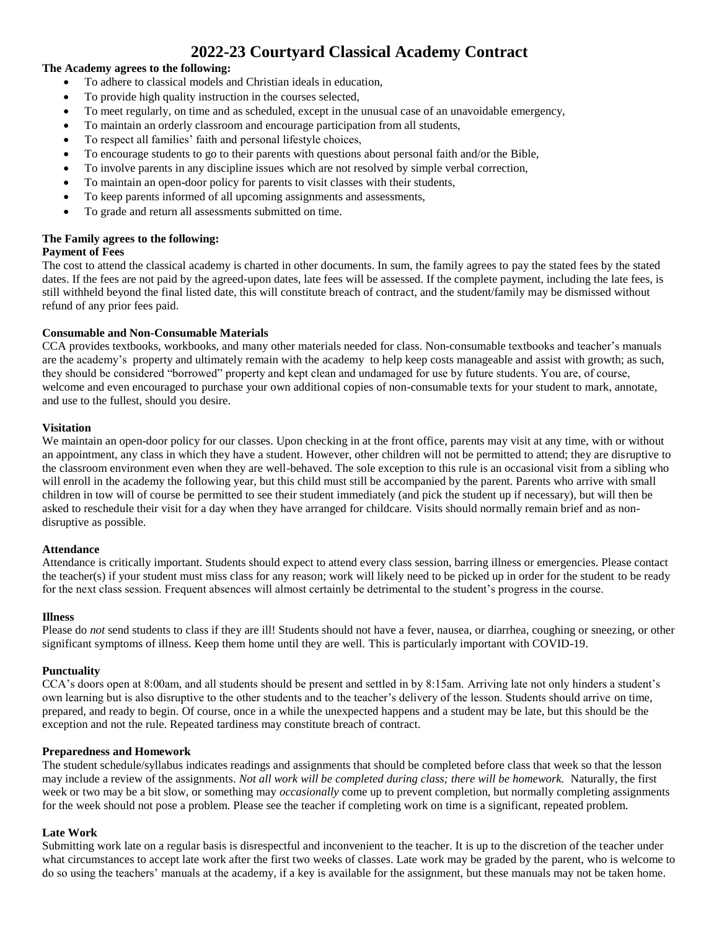# **2022-23 Courtyard Classical Academy Contract**

## **The Academy agrees to the following:**

- To adhere to classical models and Christian ideals in education,
- To provide high quality instruction in the courses selected,
- To meet regularly, on time and as scheduled, except in the unusual case of an unavoidable emergency,
- To maintain an orderly classroom and encourage participation from all students,
- To respect all families' faith and personal lifestyle choices,
- To encourage students to go to their parents with questions about personal faith and/or the Bible,
- To involve parents in any discipline issues which are not resolved by simple verbal correction,
- To maintain an open-door policy for parents to visit classes with their students,
- To keep parents informed of all upcoming assignments and assessments,
- To grade and return all assessments submitted on time.

## **The Family agrees to the following:**

## **Payment of Fees**

The cost to attend the classical academy is charted in other documents. In sum, the family agrees to pay the stated fees by the stated dates. If the fees are not paid by the agreed-upon dates, late fees will be assessed. If the complete payment, including the late fees, is still withheld beyond the final listed date, this will constitute breach of contract, and the student/family may be dismissed without refund of any prior fees paid.

## **Consumable and Non-Consumable Materials**

CCA provides textbooks, workbooks, and many other materials needed for class. Non-consumable textbooks and teacher's manuals are the academy's property and ultimately remain with the academy to help keep costs manageable and assist with growth; as such, they should be considered "borrowed" property and kept clean and undamaged for use by future students. You are, of course, welcome and even encouraged to purchase your own additional copies of non-consumable texts for your student to mark, annotate, and use to the fullest, should you desire.

## **Visitation**

We maintain an open-door policy for our classes. Upon checking in at the front office, parents may visit at any time, with or without an appointment, any class in which they have a student. However, other children will not be permitted to attend; they are disruptive to the classroom environment even when they are well-behaved. The sole exception to this rule is an occasional visit from a sibling who will enroll in the academy the following year, but this child must still be accompanied by the parent. Parents who arrive with small children in tow will of course be permitted to see their student immediately (and pick the student up if necessary), but will then be asked to reschedule their visit for a day when they have arranged for childcare. Visits should normally remain brief and as nondisruptive as possible.

#### **Attendance**

Attendance is critically important. Students should expect to attend every class session, barring illness or emergencies. Please contact the teacher(s) if your student must miss class for any reason; work will likely need to be picked up in order for the student to be ready for the next class session. Frequent absences will almost certainly be detrimental to the student's progress in the course.

#### **Illness**

Please do *not* send students to class if they are ill! Students should not have a fever, nausea, or diarrhea, coughing or sneezing, or other significant symptoms of illness. Keep them home until they are well. This is particularly important with COVID-19.

#### **Punctuality**

CCA's doors open at 8:00am, and all students should be present and settled in by 8:15am. Arriving late not only hinders a student's own learning but is also disruptive to the other students and to the teacher's delivery of the lesson. Students should arrive on time, prepared, and ready to begin. Of course, once in a while the unexpected happens and a student may be late, but this should be the exception and not the rule. Repeated tardiness may constitute breach of contract.

#### **Preparedness and Homework**

The student schedule/syllabus indicates readings and assignments that should be completed before class that week so that the lesson may include a review of the assignments. *Not all work will be completed during class; there will be homework.* Naturally, the first week or two may be a bit slow, or something may *occasionally* come up to prevent completion, but normally completing assignments for the week should not pose a problem. Please see the teacher if completing work on time is a significant, repeated problem.

## **Late Work**

Submitting work late on a regular basis is disrespectful and inconvenient to the teacher. It is up to the discretion of the teacher under what circumstances to accept late work after the first two weeks of classes. Late work may be graded by the parent, who is welcome to do so using the teachers' manuals at the academy, if a key is available for the assignment, but these manuals may not be taken home.